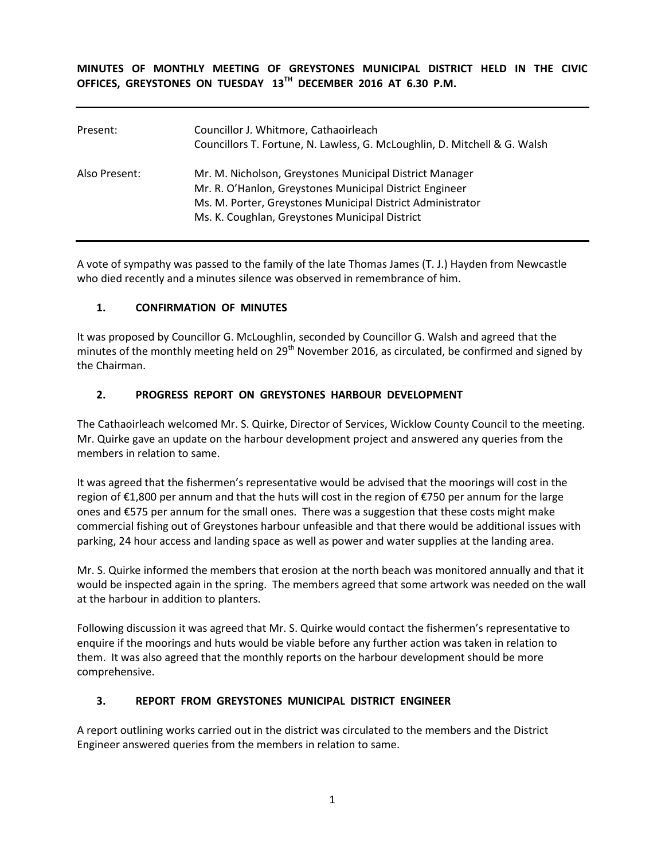**MINUTES OF MONTHLY MEETING OF GREYSTONES MUNICIPAL DISTRICT HELD IN THE CIVIC OFFICES, GREYSTONES ON TUESDAY 13TH DECEMBER 2016 AT 6.30 P.M.** 

| Present:      | Councillor J. Whitmore, Cathaoirleach<br>Councillors T. Fortune, N. Lawless, G. McLoughlin, D. Mitchell & G. Walsh                                                                                                                 |
|---------------|------------------------------------------------------------------------------------------------------------------------------------------------------------------------------------------------------------------------------------|
| Also Present: | Mr. M. Nicholson, Greystones Municipal District Manager<br>Mr. R. O'Hanlon, Greystones Municipal District Engineer<br>Ms. M. Porter, Greystones Municipal District Administrator<br>Ms. K. Coughlan, Greystones Municipal District |

A vote of sympathy was passed to the family of the late Thomas James (T. J.) Hayden from Newcastle who died recently and a minutes silence was observed in remembrance of him.

## **1. CONFIRMATION OF MINUTES**

It was proposed by Councillor G. McLoughlin, seconded by Councillor G. Walsh and agreed that the minutes of the monthly meeting held on 29<sup>th</sup> November 2016, as circulated, be confirmed and signed by the Chairman.

## **2. PROGRESS REPORT ON GREYSTONES HARBOUR DEVELOPMENT**

The Cathaoirleach welcomed Mr. S. Quirke, Director of Services, Wicklow County Council to the meeting. Mr. Quirke gave an update on the harbour development project and answered any queries from the members in relation to same.

It was agreed that the fishermen's representative would be advised that the moorings will cost in the region of €1,800 per annum and that the huts will cost in the region of €750 per annum for the large ones and €575 per annum for the small ones. There was a suggestion that these costs might make commercial fishing out of Greystones harbour unfeasible and that there would be additional issues with parking, 24 hour access and landing space as well as power and water supplies at the landing area.

Mr. S. Quirke informed the members that erosion at the north beach was monitored annually and that it would be inspected again in the spring. The members agreed that some artwork was needed on the wall at the harbour in addition to planters.

Following discussion it was agreed that Mr. S. Quirke would contact the fishermen's representative to enquire if the moorings and huts would be viable before any further action was taken in relation to them. It was also agreed that the monthly reports on the harbour development should be more comprehensive.

# **3. REPORT FROM GREYSTONES MUNICIPAL DISTRICT ENGINEER**

A report outlining works carried out in the district was circulated to the members and the District Engineer answered queries from the members in relation to same.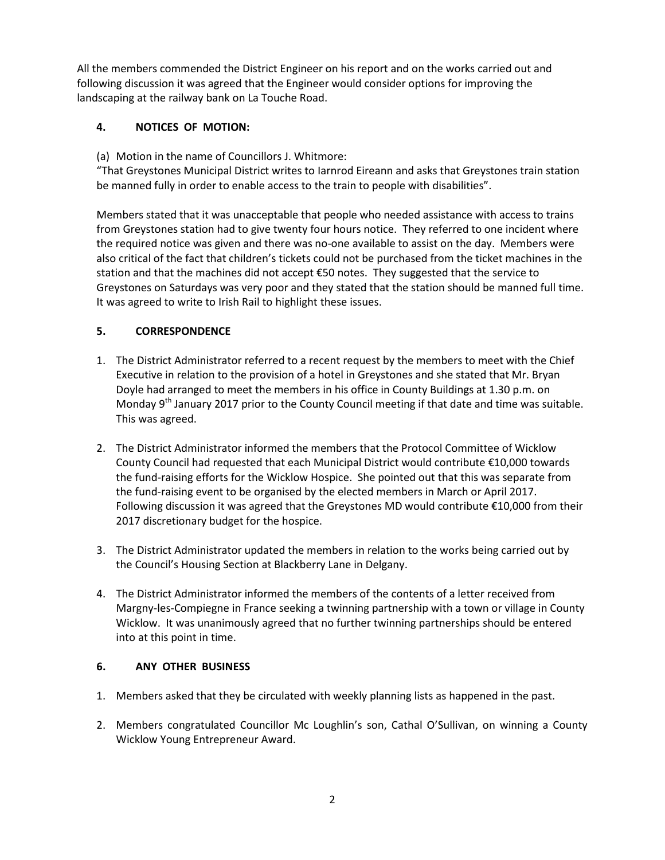All the members commended the District Engineer on his report and on the works carried out and following discussion it was agreed that the Engineer would consider options for improving the landscaping at the railway bank on La Touche Road.

# **4. NOTICES OF MOTION:**

(a) Motion in the name of Councillors J. Whitmore:

"That Greystones Municipal District writes to Iarnrod Eireann and asks that Greystones train station be manned fully in order to enable access to the train to people with disabilities".

Members stated that it was unacceptable that people who needed assistance with access to trains from Greystones station had to give twenty four hours notice. They referred to one incident where the required notice was given and there was no-one available to assist on the day. Members were also critical of the fact that children's tickets could not be purchased from the ticket machines in the station and that the machines did not accept €50 notes. They suggested that the service to Greystones on Saturdays was very poor and they stated that the station should be manned full time. It was agreed to write to Irish Rail to highlight these issues.

# **5. CORRESPONDENCE**

- 1. The District Administrator referred to a recent request by the members to meet with the Chief Executive in relation to the provision of a hotel in Greystones and she stated that Mr. Bryan Doyle had arranged to meet the members in his office in County Buildings at 1.30 p.m. on Monday  $9<sup>th</sup>$  January 2017 prior to the County Council meeting if that date and time was suitable. This was agreed.
- 2. The District Administrator informed the members that the Protocol Committee of Wicklow County Council had requested that each Municipal District would contribute €10,000 towards the fund-raising efforts for the Wicklow Hospice. She pointed out that this was separate from the fund-raising event to be organised by the elected members in March or April 2017. Following discussion it was agreed that the Greystones MD would contribute €10,000 from their 2017 discretionary budget for the hospice.
- 3. The District Administrator updated the members in relation to the works being carried out by the Council's Housing Section at Blackberry Lane in Delgany.
- 4. The District Administrator informed the members of the contents of a letter received from Margny-les-Compiegne in France seeking a twinning partnership with a town or village in County Wicklow. It was unanimously agreed that no further twinning partnerships should be entered into at this point in time.

#### **6. ANY OTHER BUSINESS**

- 1. Members asked that they be circulated with weekly planning lists as happened in the past.
- 2. Members congratulated Councillor Mc Loughlin's son, Cathal O'Sullivan, on winning a County Wicklow Young Entrepreneur Award.